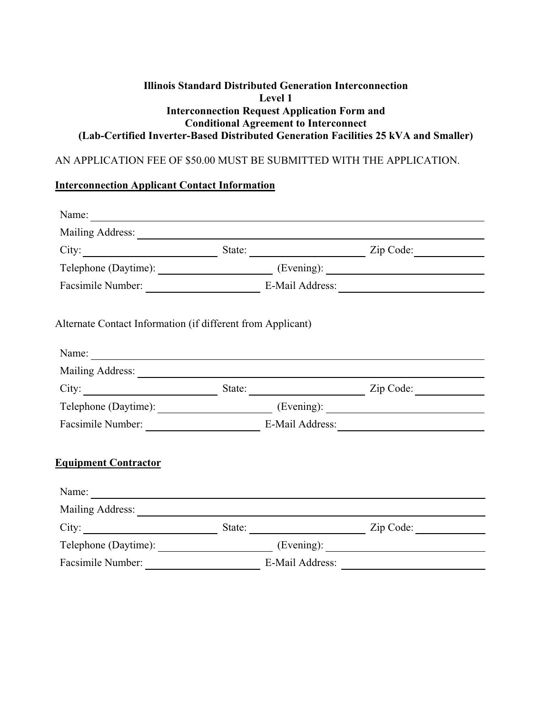## **Illinois Standard Distributed Generation Interconnection Level 1 Interconnection Request Application Form and Conditional Agreement to Interconnect (Lab-Certified Inverter-Based Distributed Generation Facilities 25 kVA and Smaller)**

## AN APPLICATION FEE OF \$50.00 MUST BE SUBMITTED WITH THE APPLICATION.

# **Interconnection Applicant Contact Information**

| Alternate Contact Information (if different from Applicant) |  |  |
|-------------------------------------------------------------|--|--|
| Name:                                                       |  |  |
|                                                             |  |  |
| City: <u>City:</u> State: <u>City: Zip Code:</u> City:      |  |  |
| Telephone (Daytime): (Evening): (Evening):                  |  |  |
| Facsimile Number: E-Mail Address:                           |  |  |
| <b>Equipment Contractor</b>                                 |  |  |
|                                                             |  |  |
|                                                             |  |  |
| City: <u>City:</u> State: <u>City: Zip Code:</u> City: 2    |  |  |
|                                                             |  |  |
|                                                             |  |  |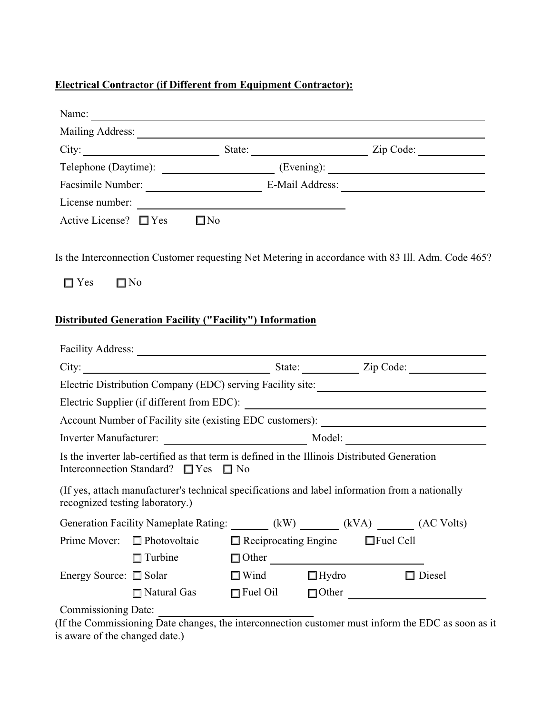# **Electrical Contractor (if Different from Equipment Contractor):**

|                                 |                                                                                                                                                |                             |              | City: <u>City:</u> State: <u>City:</u> Zip Code: <u>City:</u> Zip Code: <u>City:</u> Zip Code: <u>City:</u> Zip Code: <u>City:</u> Zip Code: <u>City:</u> Zip Code: <u>City: Zip Code: City: Zip Code: City: Zip Code: City: Zip Code: City: Zip Code: City: Zip Co</u> |
|---------------------------------|------------------------------------------------------------------------------------------------------------------------------------------------|-----------------------------|--------------|-------------------------------------------------------------------------------------------------------------------------------------------------------------------------------------------------------------------------------------------------------------------------|
|                                 |                                                                                                                                                |                             |              |                                                                                                                                                                                                                                                                         |
|                                 |                                                                                                                                                |                             |              |                                                                                                                                                                                                                                                                         |
|                                 | License number:                                                                                                                                |                             |              |                                                                                                                                                                                                                                                                         |
| Active License? $\Box$ Yes      | $\square$ No                                                                                                                                   |                             |              |                                                                                                                                                                                                                                                                         |
| $\Box$ Yes                      | $\square$ No<br><b>Distributed Generation Facility ("Facility") Information</b>                                                                |                             |              | Is the Interconnection Customer requesting Net Metering in accordance with 83 Ill. Adm. Code 465?                                                                                                                                                                       |
|                                 |                                                                                                                                                |                             |              |                                                                                                                                                                                                                                                                         |
|                                 |                                                                                                                                                |                             |              | City: <u>City:</u> State: <u>City:</u> City: 2ip Code: 2ip Code: 2ip Code: 2ip Code: 2ip Code: 2ip Code: 2ip Code: 2ip Code: 2ip Code: 2ip Code: 2ip Code: 2ip Code: 2ip Code: 2ip Code: 2ip Code: 2ip Code: 2ip Code: 2ip Code: 2ip Cod                                |
|                                 |                                                                                                                                                |                             |              |                                                                                                                                                                                                                                                                         |
|                                 |                                                                                                                                                |                             |              |                                                                                                                                                                                                                                                                         |
|                                 |                                                                                                                                                |                             |              |                                                                                                                                                                                                                                                                         |
|                                 |                                                                                                                                                |                             |              |                                                                                                                                                                                                                                                                         |
|                                 | Is the inverter lab-certified as that term is defined in the Illinois Distributed Generation<br>Interconnection Standard? $\Box$ Yes $\Box$ No |                             |              |                                                                                                                                                                                                                                                                         |
| recognized testing laboratory.) | (If yes, attach manufacturer's technical specifications and label information from a nationally                                                |                             |              |                                                                                                                                                                                                                                                                         |
|                                 |                                                                                                                                                |                             |              | Generation Facility Nameplate Rating: (kW) (kVA) (AC Volts)                                                                                                                                                                                                             |
| Prime Mover:                    | $\Box$ Photovoltaic                                                                                                                            | $\Box$ Reciprocating Engine |              | $\Box$ Fuel Cell                                                                                                                                                                                                                                                        |
|                                 | $\Box$ Turbine                                                                                                                                 |                             |              |                                                                                                                                                                                                                                                                         |
| Energy Source: □ Solar          |                                                                                                                                                | $\Box$ Wind                 | $\Box$ Hydro | □ Diesel                                                                                                                                                                                                                                                                |
|                                 | □ Natural Gas                                                                                                                                  | $\Box$ Fuel Oil             | $\Box$ Other |                                                                                                                                                                                                                                                                         |

Commissioning Date:

(If the Commissioning Date changes, the interconnection customer must inform the EDC as soon as it is aware of the changed date.)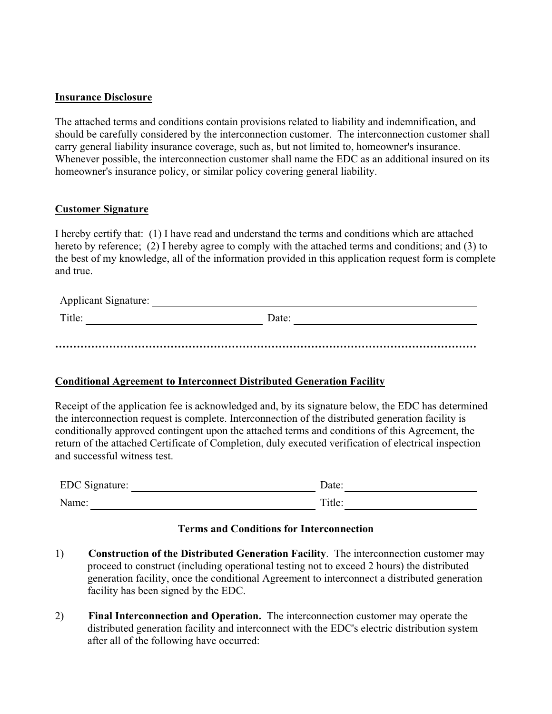#### **Insurance Disclosure**

The attached terms and conditions contain provisions related to liability and indemnification, and should be carefully considered by the interconnection customer. The interconnection customer shall carry general liability insurance coverage, such as, but not limited to, homeowner's insurance. Whenever possible, the interconnection customer shall name the EDC as an additional insured on its homeowner's insurance policy, or similar policy covering general liability.

#### **Customer Signature**

I hereby certify that: (1) I have read and understand the terms and conditions which are attached hereto by reference; (2) I hereby agree to comply with the attached terms and conditions; and (3) to the best of my knowledge, all of the information provided in this application request form is complete and true.

| <b>Applicant Signature:</b> |       |  |
|-----------------------------|-------|--|
| Title:                      | Date: |  |
|                             |       |  |
|                             |       |  |

### **Conditional Agreement to Interconnect Distributed Generation Facility**

Receipt of the application fee is acknowledged and, by its signature below, the EDC has determined the interconnection request is complete. Interconnection of the distributed generation facility is conditionally approved contingent upon the attached terms and conditions of this Agreement, the return of the attached Certificate of Completion, duly executed verification of electrical inspection and successful witness test.

| EDC Signature: | Date:              |
|----------------|--------------------|
| Name:          | $\mathrm{Title}$ : |

## **Terms and Conditions for Interconnection**

- 1) **Construction of the Distributed Generation Facility**. The interconnection customer may proceed to construct (including operational testing not to exceed 2 hours) the distributed generation facility, once the conditional Agreement to interconnect a distributed generation facility has been signed by the EDC.
- 2) **Final Interconnection and Operation.** The interconnection customer may operate the distributed generation facility and interconnect with the EDC's electric distribution system after all of the following have occurred: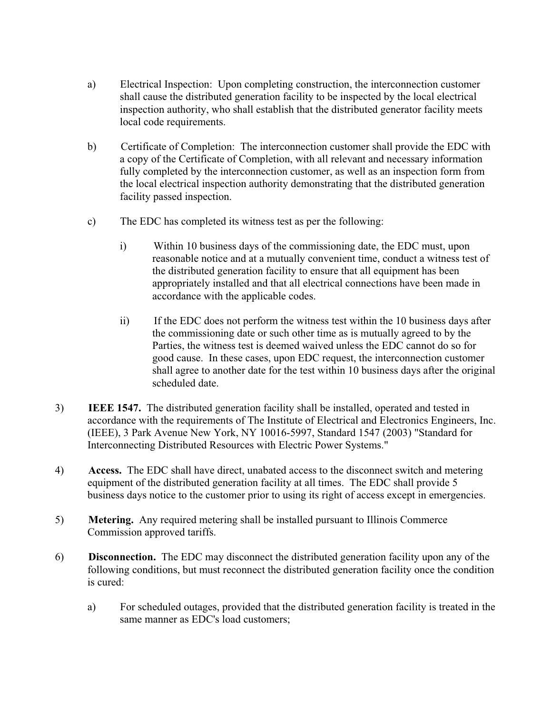- a) Electrical Inspection: Upon completing construction, the interconnection customer shall cause the distributed generation facility to be inspected by the local electrical inspection authority, who shall establish that the distributed generator facility meets local code requirements.
- b) Certificate of Completion: The interconnection customer shall provide the EDC with a copy of the Certificate of Completion, with all relevant and necessary information fully completed by the interconnection customer, as well as an inspection form from the local electrical inspection authority demonstrating that the distributed generation facility passed inspection.
- c) The EDC has completed its witness test as per the following:
	- i) Within 10 business days of the commissioning date, the EDC must, upon reasonable notice and at a mutually convenient time, conduct a witness test of the distributed generation facility to ensure that all equipment has been appropriately installed and that all electrical connections have been made in accordance with the applicable codes.
	- ii) If the EDC does not perform the witness test within the 10 business days after the commissioning date or such other time as is mutually agreed to by the Parties, the witness test is deemed waived unless the EDC cannot do so for good cause. In these cases, upon EDC request, the interconnection customer shall agree to another date for the test within 10 business days after the original scheduled date.
- 3) **IEEE 1547.** The distributed generation facility shall be installed, operated and tested in accordance with the requirements of The Institute of Electrical and Electronics Engineers, Inc. (IEEE), 3 Park Avenue New York, NY 10016-5997, Standard 1547 (2003) "Standard for Interconnecting Distributed Resources with Electric Power Systems."
- 4) **Access.** The EDC shall have direct, unabated access to the disconnect switch and metering equipment of the distributed generation facility at all times. The EDC shall provide 5 business days notice to the customer prior to using its right of access except in emergencies.
- 5) **Metering.** Any required metering shall be installed pursuant to Illinois Commerce Commission approved tariffs.
- 6) **Disconnection.** The EDC may disconnect the distributed generation facility upon any of the following conditions, but must reconnect the distributed generation facility once the condition is cured:
	- a) For scheduled outages, provided that the distributed generation facility is treated in the same manner as EDC's load customers;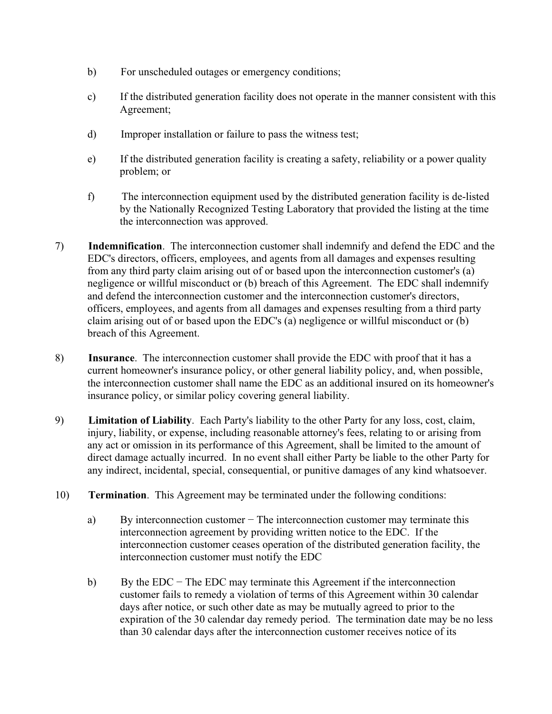- b) For unscheduled outages or emergency conditions;
- c) If the distributed generation facility does not operate in the manner consistent with this Agreement;
- d) Improper installation or failure to pass the witness test;
- e) If the distributed generation facility is creating a safety, reliability or a power quality problem; or
- f) The interconnection equipment used by the distributed generation facility is de-listed by the Nationally Recognized Testing Laboratory that provided the listing at the time the interconnection was approved.
- 7) **Indemnification**. The interconnection customer shall indemnify and defend the EDC and the EDC's directors, officers, employees, and agents from all damages and expenses resulting from any third party claim arising out of or based upon the interconnection customer's (a) negligence or willful misconduct or (b) breach of this Agreement. The EDC shall indemnify and defend the interconnection customer and the interconnection customer's directors, officers, employees, and agents from all damages and expenses resulting from a third party claim arising out of or based upon the EDC's (a) negligence or willful misconduct or (b) breach of this Agreement.
- 8) **Insurance**. The interconnection customer shall provide the EDC with proof that it has a current homeowner's insurance policy, or other general liability policy, and, when possible, the interconnection customer shall name the EDC as an additional insured on its homeowner's insurance policy, or similar policy covering general liability.
- 9) **Limitation of Liability**. Each Party's liability to the other Party for any loss, cost, claim, injury, liability, or expense, including reasonable attorney's fees, relating to or arising from any act or omission in its performance of this Agreement, shall be limited to the amount of direct damage actually incurred. In no event shall either Party be liable to the other Party for any indirect, incidental, special, consequential, or punitive damages of any kind whatsoever.
- 10) **Termination**. This Agreement may be terminated under the following conditions:
	- a) By interconnection customer The interconnection customer may terminate this interconnection agreement by providing written notice to the EDC. If the interconnection customer ceases operation of the distributed generation facility, the interconnection customer must notify the EDC
	- b) By the EDC The EDC may terminate this Agreement if the interconnection customer fails to remedy a violation of terms of this Agreement within 30 calendar days after notice, or such other date as may be mutually agreed to prior to the expiration of the 30 calendar day remedy period. The termination date may be no less than 30 calendar days after the interconnection customer receives notice of its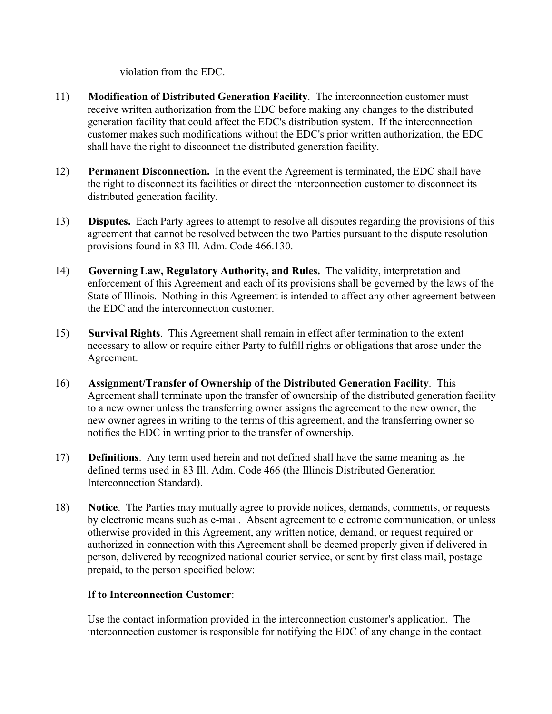violation from the EDC.

- 11) **Modification of Distributed Generation Facility**. The interconnection customer must receive written authorization from the EDC before making any changes to the distributed generation facility that could affect the EDC's distribution system. If the interconnection customer makes such modifications without the EDC's prior written authorization, the EDC shall have the right to disconnect the distributed generation facility.
- 12) **Permanent Disconnection.** In the event the Agreement is terminated, the EDC shall have the right to disconnect its facilities or direct the interconnection customer to disconnect its distributed generation facility.
- 13) **Disputes.** Each Party agrees to attempt to resolve all disputes regarding the provisions of this agreement that cannot be resolved between the two Parties pursuant to the dispute resolution provisions found in 83 Ill. Adm. Code 466.130.
- 14) **Governing Law, Regulatory Authority, and Rules.** The validity, interpretation and enforcement of this Agreement and each of its provisions shall be governed by the laws of the State of Illinois. Nothing in this Agreement is intended to affect any other agreement between the EDC and the interconnection customer.
- 15) **Survival Rights**. This Agreement shall remain in effect after termination to the extent necessary to allow or require either Party to fulfill rights or obligations that arose under the Agreement.
- 16) **Assignment/Transfer of Ownership of the Distributed Generation Facility**. This Agreement shall terminate upon the transfer of ownership of the distributed generation facility to a new owner unless the transferring owner assigns the agreement to the new owner, the new owner agrees in writing to the terms of this agreement, and the transferring owner so notifies the EDC in writing prior to the transfer of ownership.
- 17) **Definitions**. Any term used herein and not defined shall have the same meaning as the defined terms used in 83 Ill. Adm. Code 466 (the Illinois Distributed Generation Interconnection Standard).
- 18) **Notice**. The Parties may mutually agree to provide notices, demands, comments, or requests by electronic means such as e-mail. Absent agreement to electronic communication, or unless otherwise provided in this Agreement, any written notice, demand, or request required or authorized in connection with this Agreement shall be deemed properly given if delivered in person, delivered by recognized national courier service, or sent by first class mail, postage prepaid, to the person specified below:

## **If to Interconnection Customer**:

Use the contact information provided in the interconnection customer's application. The interconnection customer is responsible for notifying the EDC of any change in the contact